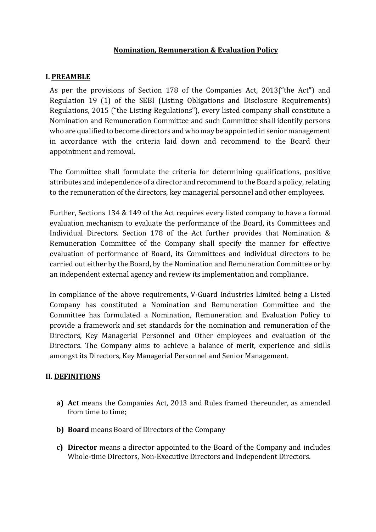### **Nomination, Remuneration & Evaluation Policy**

#### **I. PREAMBLE**

As per the provisions of Section 178 of the Companies Act, 2013("the Act") and Regulation 19 (1) of the SEBI (Listing Obligations and Disclosure Requirements) Regulations, 2015 ("the Listing Regulations"), every listed company shall constitute a Nomination and Remuneration Committee and such Committee shall identify persons who are qualified to become directors and who may be appointed in senior management in accordance with the criteria laid down and recommend to the Board their appointment and removal.

The Committee shall formulate the criteria for determining qualifications, positive attributes and independence of a director and recommend to the Board a policy, relating to the remuneration of the directors, key managerial personnel and other employees.

Further, Sections 134 & 149 of the Act requires every listed company to have a formal evaluation mechanism to evaluate the performance of the Board, its Committees and Individual Directors. Section 178 of the Act further provides that Nomination & Remuneration Committee of the Company shall specify the manner for effective evaluation of performance of Board, its Committees and individual directors to be carried out either by the Board, by the Nomination and Remuneration Committee or by an independent external agency and review its implementation and compliance.

In compliance of the above requirements, V-Guard Industries Limited being a Listed Company has constituted a Nomination and Remuneration Committee and the Committee has formulated a Nomination, Remuneration and Evaluation Policy to provide a framework and set standards for the nomination and remuneration of the Directors, Key Managerial Personnel and Other employees and evaluation of the Directors. The Company aims to achieve a balance of merit, experience and skills amongst its Directors, Key Managerial Personnel and Senior Management.

#### **II. DEFINITIONS**

- **a) Act** means the Companies Act, 2013 and Rules framed thereunder, as amended from time to time;
- **b) Board** means Board of Directors of the Company
- **c) Director** means a director appointed to the Board of the Company and includes Whole-time Directors, Non-Executive Directors and Independent Directors.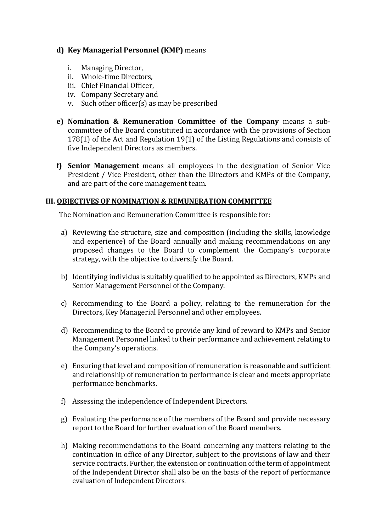### **d) Key Managerial Personnel (KMP)** means

- i. Managing Director,
- ii. Whole-time Directors,
- iii. Chief Financial Officer,
- iv. Company Secretary and
- v. Such other officer(s) as may be prescribed
- **e) Nomination & Remuneration Committee of the Company** means a subcommittee of the Board constituted in accordance with the provisions of Section 178(1) of the Act and Regulation 19(1) of the Listing Regulations and consists of five Independent Directors as members.
- **f) Senior Management** means all employees in the designation of Senior Vice President / Vice President, other than the Directors and KMPs of the Company, and are part of the core management team.

#### **III. OBJECTIVES OF NOMINATION & REMUNERATION COMMITTEE**

The Nomination and Remuneration Committee is responsible for:

- a) Reviewing the structure, size and composition (including the skills, knowledge and experience) of the Board annually and making recommendations on any proposed changes to the Board to complement the Company's corporate strategy, with the objective to diversify the Board.
- b) Identifying individuals suitably qualified to be appointed as Directors, KMPs and Senior Management Personnel of the Company.
- c) Recommending to the Board a policy, relating to the remuneration for the Directors, Key Managerial Personnel and other employees.
- d) Recommending to the Board to provide any kind of reward to KMPs and Senior Management Personnel linked to their performance and achievement relating to the Company's operations.
- e) Ensuring that level and composition of remuneration is reasonable and sufficient and relationship of remuneration to performance is clear and meets appropriate performance benchmarks.
- f) Assessing the independence of Independent Directors.
- g) Evaluating the performance of the members of the Board and provide necessary report to the Board for further evaluation of the Board members.
- h) Making recommendations to the Board concerning any matters relating to the continuation in office of any Director, subject to the provisions of law and their service contracts. Further, the extension or continuation of the term of appointment of the Independent Director shall also be on the basis of the report of performance evaluation of Independent Directors.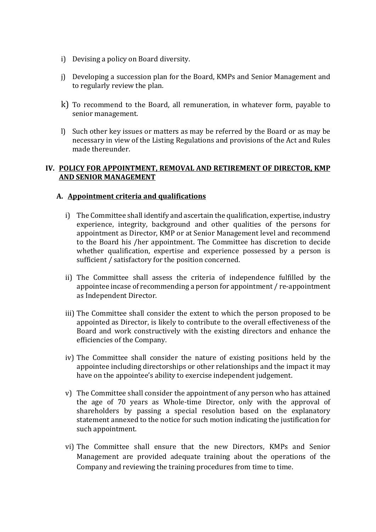- i) Devising a policy on Board diversity.
- j) Developing a succession plan for the Board, KMPs and Senior Management and to regularly review the plan.
- k) To recommend to the Board, all remuneration, in whatever form, payable to senior management.
- l) Such other key issues or matters as may be referred by the Board or as may be necessary in view of the Listing Regulations and provisions of the Act and Rules made thereunder.

#### **IV. POLICY FOR APPOINTMENT, REMOVAL AND RETIREMENT OF DIRECTOR, KMP AND SENIOR MANAGEMENT**

#### **A. Appointment criteria and qualifications**

- i) The Committee shall identify and ascertain the qualification, expertise, industry experience, integrity, background and other qualities of the persons for appointment as Director, KMP or at Senior Management level and recommend to the Board his /her appointment. The Committee has discretion to decide whether qualification, expertise and experience possessed by a person is sufficient / satisfactory for the position concerned.
- ii) The Committee shall assess the criteria of independence fulfilled by the appointee incase of recommending a person for appointment / re-appointment as Independent Director.
- iii) The Committee shall consider the extent to which the person proposed to be appointed as Director, is likely to contribute to the overall effectiveness of the Board and work constructively with the existing directors and enhance the efficiencies of the Company.
- iv) The Committee shall consider the nature of existing positions held by the appointee including directorships or other relationships and the impact it may have on the appointee's ability to exercise independent judgement.
- v) The Committee shall consider the appointment of any person who has attained the age of 70 years as Whole-time Director, only with the approval of shareholders by passing a special resolution based on the explanatory statement annexed to the notice for such motion indicating the justification for such appointment.
- vi) The Committee shall ensure that the new Directors, KMPs and Senior Management are provided adequate training about the operations of the Company and reviewing the training procedures from time to time.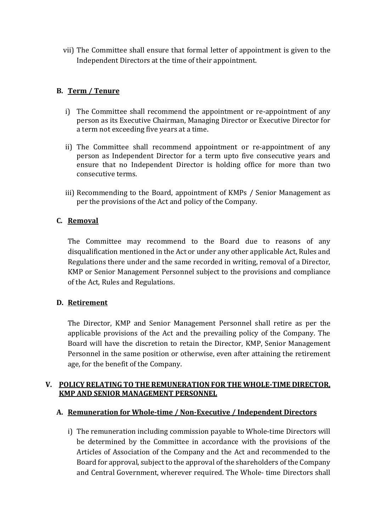vii) The Committee shall ensure that formal letter of appointment is given to the Independent Directors at the time of their appointment.

# **B. Term / Tenure**

- i) The Committee shall recommend the appointment or re-appointment of any person as its Executive Chairman, Managing Director or Executive Director for a term not exceeding five years at a time.
- ii) The Committee shall recommend appointment or re-appointment of any person as Independent Director for a term upto five consecutive years and ensure that no Independent Director is holding office for more than two consecutive terms.
- iii) Recommending to the Board, appointment of KMPs / Senior Management as per the provisions of the Act and policy of the Company.

# **C. Removal**

The Committee may recommend to the Board due to reasons of any disqualification mentioned in the Act or under any other applicable Act, Rules and Regulations there under and the same recorded in writing, removal of a Director, KMP or Senior Management Personnel subject to the provisions and compliance of the Act, Rules and Regulations.

# **D. Retirement**

The Director, KMP and Senior Management Personnel shall retire as per the applicable provisions of the Act and the prevailing policy of the Company. The Board will have the discretion to retain the Director, KMP, Senior Management Personnel in the same position or otherwise, even after attaining the retirement age, for the benefit of the Company.

# **V. POLICY RELATING TO THE REMUNERATION FOR THE WHOLE-TIME DIRECTOR, KMP AND SENIOR MANAGEMENT PERSONNEL**

# **A. Remuneration for Whole-time / Non-Executive / Independent Directors**

i) The remuneration including commission payable to Whole-time Directors will be determined by the Committee in accordance with the provisions of the Articles of Association of the Company and the Act and recommended to the Board for approval, subject to the approval of the shareholders of the Company and Central Government, wherever required. The Whole- time Directors shall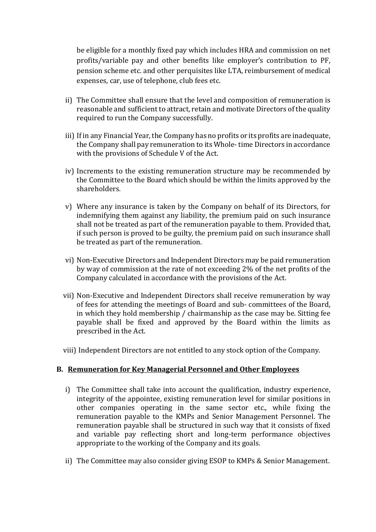be eligible for a monthly fixed pay which includes HRA and commission on net profits/variable pay and other benefits like employer's contribution to PF, pension scheme etc. and other perquisites like LTA, reimbursement of medical expenses, car, use of telephone, club fees etc.

- ii) The Committee shall ensure that the level and composition of remuneration is reasonable and sufficient to attract, retain and motivate Directors of the quality required to run the Company successfully.
- iii) If in any Financial Year, the Company has no profits or its profits are inadequate, the Company shall pay remuneration to its Whole- time Directors in accordance with the provisions of Schedule V of the Act.
- iv) Increments to the existing remuneration structure may be recommended by the Committee to the Board which should be within the limits approved by the shareholders.
- v) Where any insurance is taken by the Company on behalf of its Directors, for indemnifying them against any liability, the premium paid on such insurance shall not be treated as part of the remuneration payable to them. Provided that, if such person is proved to be guilty, the premium paid on such insurance shall be treated as part of the remuneration.
- vi) Non-Executive Directors and Independent Directors may be paid remuneration by way of commission at the rate of not exceeding 2% of the net profits of the Company calculated in accordance with the provisions of the Act.
- vii) Non-Executive and Independent Directors shall receive remuneration by way of fees for attending the meetings of Board and sub- committees of the Board, in which they hold membership / chairmanship as the case may be. Sitting fee payable shall be fixed and approved by the Board within the limits as prescribed in the Act.
- viii) Independent Directors are not entitled to any stock option of the Company.

#### **B. Remuneration for Key Managerial Personnel and Other Employees**

- i) The Committee shall take into account the qualification, industry experience, integrity of the appointee, existing remuneration level for similar positions in other companies operating in the same sector etc., while fixing the remuneration payable to the KMPs and Senior Management Personnel. The remuneration payable shall be structured in such way that it consists of fixed and variable pay reflecting short and long-term performance objectives appropriate to the working of the Company and its goals.
- ii) The Committee may also consider giving ESOP to KMPs & Senior Management.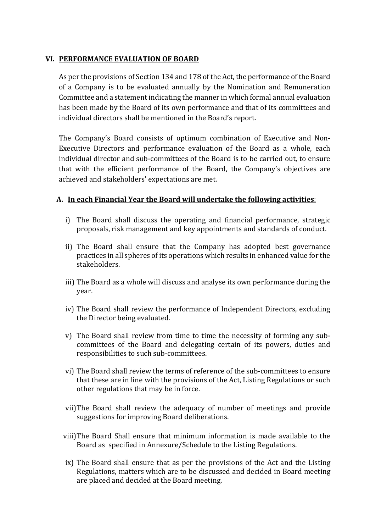### **VI. PERFORMANCE EVALUATION OF BOARD**

As per the provisions of Section 134 and 178 of the Act, the performance of the Board of a Company is to be evaluated annually by the Nomination and Remuneration Committee and a statement indicating the manner in which formal annual evaluation has been made by the Board of its own performance and that of its committees and individual directors shall be mentioned in the Board's report.

The Company's Board consists of optimum combination of Executive and Non-Executive Directors and performance evaluation of the Board as a whole, each individual director and sub-committees of the Board is to be carried out, to ensure that with the efficient performance of the Board, the Company's objectives are achieved and stakeholders' expectations are met.

### **A. In each Financial Year the Board will undertake the following activities**:

- i) The Board shall discuss the operating and financial performance, strategic proposals, risk management and key appointments and standards of conduct.
- ii) The Board shall ensure that the Company has adopted best governance practices in all spheres of its operations which results in enhanced value for the stakeholders.
- iii) The Board as a whole will discuss and analyse its own performance during the year.
- iv) The Board shall review the performance of Independent Directors, excluding the Director being evaluated.
- v) The Board shall review from time to time the necessity of forming any subcommittees of the Board and delegating certain of its powers, duties and responsibilities to such sub-committees.
- vi) The Board shall review the terms of reference of the sub-committees to ensure that these are in line with the provisions of the Act, Listing Regulations or such other regulations that may be in force.
- vii)The Board shall review the adequacy of number of meetings and provide suggestions for improving Board deliberations.
- viii)The Board Shall ensure that minimum information is made available to the Board as specified in Annexure/Schedule to the Listing Regulations.
- ix) The Board shall ensure that as per the provisions of the Act and the Listing Regulations, matters which are to be discussed and decided in Board meeting are placed and decided at the Board meeting.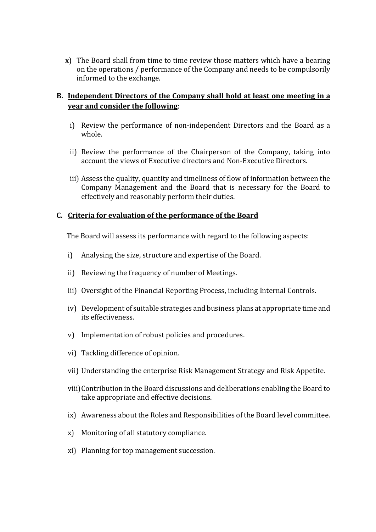x) The Board shall from time to time review those matters which have a bearing on the operations / performance of the Company and needs to be compulsorily informed to the exchange.

# **B. Independent Directors of the Company shall hold at least one meeting in a year and consider the following**:

- i) Review the performance of non-independent Directors and the Board as a whole.
- ii) Review the performance of the Chairperson of the Company, taking into account the views of Executive directors and Non-Executive Directors.
- iii) Assess the quality, quantity and timeliness of flow of information between the Company Management and the Board that is necessary for the Board to effectively and reasonably perform their duties.

### **C. Criteria for evaluation of the performance of the Board**

The Board will assess its performance with regard to the following aspects:

- i) Analysing the size, structure and expertise of the Board.
- ii) Reviewing the frequency of number of Meetings.
- iii) Oversight of the Financial Reporting Process, including Internal Controls.
- iv) Development of suitable strategies and business plans at appropriate time and its effectiveness.
- v) Implementation of robust policies and procedures.
- vi) Tackling difference of opinion.
- vii) Understanding the enterprise Risk Management Strategy and Risk Appetite.
- viii)Contribution in the Board discussions and deliberations enabling the Board to take appropriate and effective decisions.
- ix) Awareness about the Roles and Responsibilities of the Board level committee.
- x) Monitoring of all statutory compliance.
- xi) Planning for top management succession.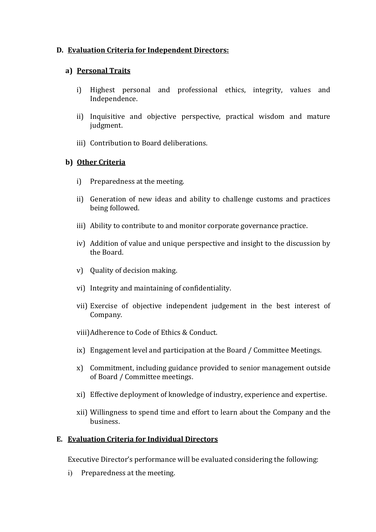### **D. Evaluation Criteria for Independent Directors:**

### **a) Personal Traits**

- i) Highest personal and professional ethics, integrity, values and Independence.
- ii) Inquisitive and objective perspective, practical wisdom and mature judgment.
- iii) Contribution to Board deliberations.

### **b) Other Criteria**

- i) Preparedness at the meeting.
- ii) Generation of new ideas and ability to challenge customs and practices being followed.
- iii) Ability to contribute to and monitor corporate governance practice.
- iv) Addition of value and unique perspective and insight to the discussion by the Board.
- v) Quality of decision making.
- vi) Integrity and maintaining of confidentiality.
- vii) Exercise of objective independent judgement in the best interest of Company.
- viii)Adherence to Code of Ethics & Conduct.
- ix) Engagement level and participation at the Board / Committee Meetings.
- x) Commitment, including guidance provided to senior management outside of Board / Committee meetings.
- xi) Effective deployment of knowledge of industry, experience and expertise.
- xii) Willingness to spend time and effort to learn about the Company and the business.

#### **E. Evaluation Criteria for Individual Directors**

Executive Director's performance will be evaluated considering the following:

i) Preparedness at the meeting.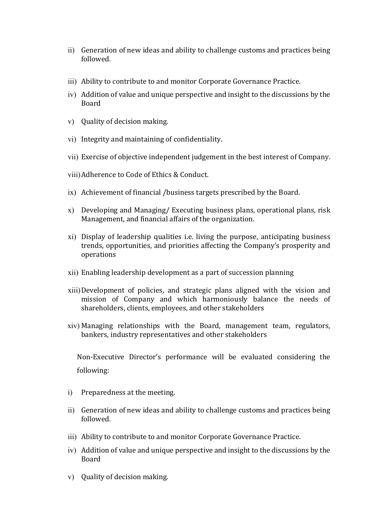- ii) Generation of new ideas and ability to challenge customs and practices being followed.
- iii) Ability to contribute to and monitor Corporate Governance Practice.
- iv) Addition of value and unique perspective and insight to the discussions by the Board
- v) Quality of decision making.
- vi) Integrity and maintaining of confidentiality.
- vii) Exercise of objective independent judgement in the best interest of Company.
- viii)Adherence to Code of Ethics & Conduct.
- ix) Achievement of financial /business targets prescribed by the Board.
- x) Developing and Managing/ Executing business plans, operational plans, risk Management, and financial affairs of the organization.
- xi) Display of leadership qualities i.e. living the purpose, anticipating business trends, opportunities, and priorities affecting the Company's prosperity and operations
- xii) Enabling leadership development as a part of succession planning
- xiii)Development of policies, and strategic plans aligned with the vision and mission of Company and which harmoniously balance the needs of shareholders, clients, employees, and other stakeholders
- xiv) Managing relationships with the Board, management team, regulators, bankers, industry representatives and other stakeholders

Non-Executive Director's performance will be evaluated considering the following:

- i) Preparedness at the meeting.
- ii) Generation of new ideas and ability to challenge customs and practices being followed.
- iii) Ability to contribute to and monitor Corporate Governance Practice.
- iv) Addition of value and unique perspective and insight to the discussions by the Board
- v) Quality of decision making.